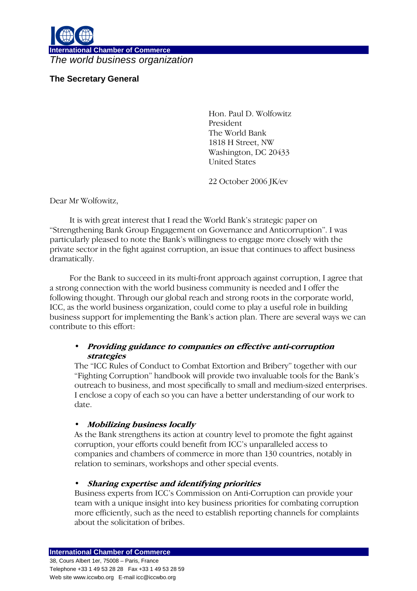

**International Chamber of Commerce**  The world business organization

## **The Secretary General**

Hon. Paul D. Wolfowitz President The World Bank 1818 H Street, NW Washington, DC 20433 United States

22 October 2006 JK/ev

Dear Mr Wolfowitz,

It is with great interest that I read the World Bank's strategic paper on "Strengthening Bank Group Engagement on Governance and Anticorruption". I was particularly pleased to note the Bank's willingness to engage more closely with the private sector in the fight against corruption, an issue that continues to affect business dramatically.

For the Bank to succeed in its multi-front approach against corruption, I agree that a strong connection with the world business community is needed and I offer the following thought. Through our global reach and strong roots in the corporate world, ICC, as the world business organization, could come to play a useful role in building business support for implementing the Bank's action plan. There are several ways we can contribute to this effort:

## • Providing guidance to companies on effective anti-corruption strategies

The "ICC Rules of Conduct to Combat Extortion and Bribery" together with our "Fighting Corruption" handbook will provide two invaluable tools for the Bank's outreach to business, and most specifically to small and medium-sized enterprises. I enclose a copy of each so you can have a better understanding of our work to date.

## • Mobilizing business locally

As the Bank strengthens its action at country level to promote the fight against corruption, your efforts could benefit from ICC's unparalleled access to companies and chambers of commerce in more than 130 countries, notably in relation to seminars, workshops and other special events.

## • Sharing expertise and identifying priorities

Business experts from ICC's Commission on Anti-Corruption can provide your team with a unique insight into key business priorities for combating corruption more efficiently, such as the need to establish reporting channels for complaints about the solicitation of bribes.